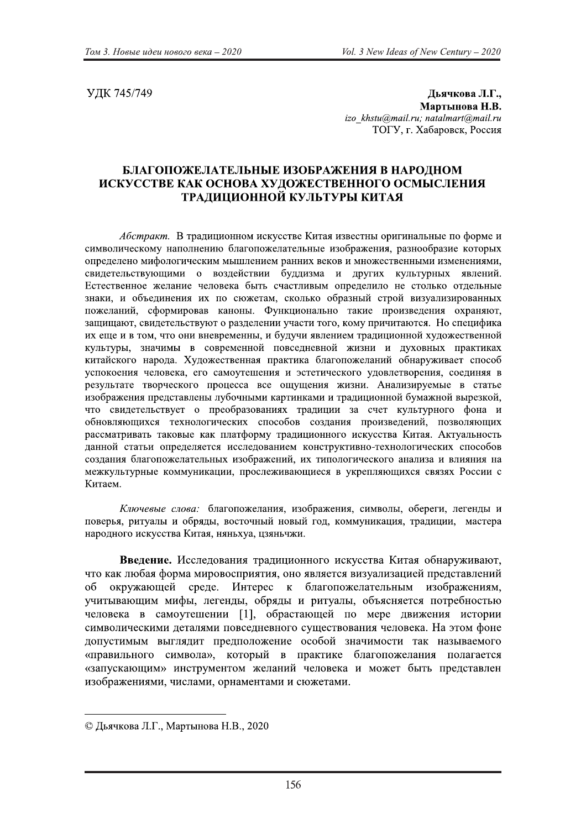УДК 745/749

Дьячкова Л.Г., Мартынова Н.В. izo khstu@mail.ru; natalmart@mail.ru ТОГУ, г. Хабаровск, Россия

## БЛАГОПОЖЕЛАТЕЛЬНЫЕ ИЗОБРАЖЕНИЯ В НАРОДНОМ ИСКУССТВЕ КАК ОСНОВА ХУДОЖЕСТВЕННОГО ОСМЫСЛЕНИЯ ТРАДИЦИОННОЙ КУЛЬТУРЫ КИТАЯ

Абстракт. В традиционном искусстве Китая известны оригинальные по форме и символическому наполнению благопожелательные изображения, разнообразие которых определено мифологическим мышлением ранних веков и множественными изменениями, свидетельствующими о воздействии буддизма и других культурных явлений. Естественное желание человека быть счастливым определило не столько отдельные знаки, и объединения их по сюжетам, сколько образный строй визуализированных пожеланий, сформировав каноны. Функционально такие произведения охраняют, защищают, свидетельствуют о разделении участи того, кому причитаются. Но специфика их еще и в том, что они вневременны, и будучи явлением традиционной художественной культуры, значимы в современной повседневной жизни и духовных практиках китайского народа. Художественная практика благопожеланий обнаруживает способ успокоения человека, его самоутешения и эстетического удовлетворения, соединяя в результате творческого процесса все ощущения жизни. Анализируемые в статье изображения представлены лубочными картинками и традиционной бумажной вырезкой, что свидетельствует о преобразованиях традиции за счет культурного фона и обновляющихся технологических способов создания произведений, позволяющих рассматривать таковые как платформу традиционного искусства Китая. Актуальность данной статьи определяется исследованием конструктивно-технологических способов создания благопожелательных изображений, их типологического анализа и влияния на межкультурные коммуникации, прослеживающиеся в укрепляющихся связях России с Китаем.

Ключевые слова: благопожелания, изображения, символы, обереги, легенды и поверья, ритуалы и обряды, восточный новый год, коммуникация, традиции, мастера народного искусства Китая, няньхуа, цзяньчжи.

Введение. Исследования традиционного искусства Китая обнаруживают, что как любая форма мировосприятия, оно является визуализацией представлений окружающей среде. Интерес к благопожелательным изображениям, об учитывающим мифы, легенды, обряды и ритуалы, объясняется потребностью человека в самоутешении [1], обрастающей по мере движения истории символическими деталями повседневного существования человека. На этом фоне допустимым выглядит предположение особой значимости так называемого «правильного символа», который в практике благопожелания полагается «запускающим» инструментом желаний человека и может быть представлен изображениями, числами, орнаментами и сюжетами.

<sup>©</sup> Дьячкова Л.Г., Мартынова Н.В., 2020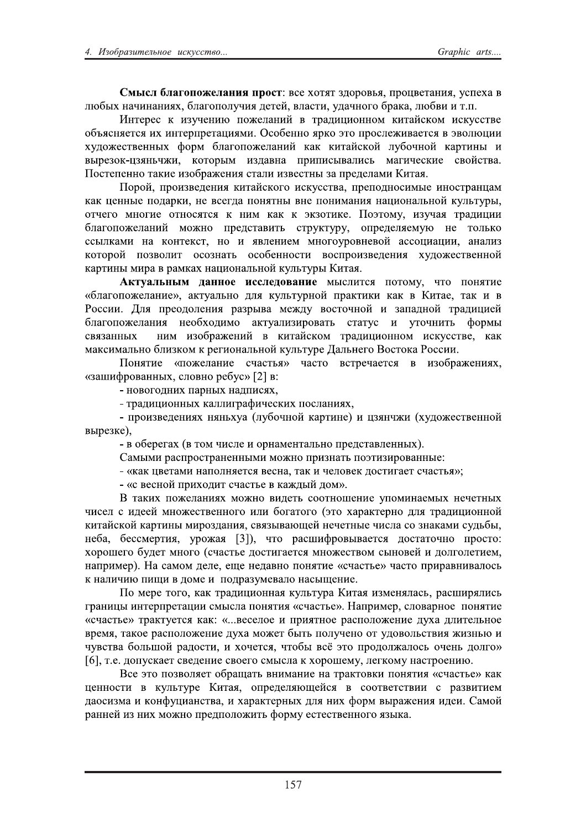!"#\$%#&'()(\*+#&,-.\$)/("0123452678982:;7<73=9>?@<7A358BCD9E2F4@56B?32 GHIJ62CBKDCBCD96E2IGBL7@7GFKD92;585ME23GB48DE2F;BKC7L7?I<BNBE2GHI3D2D28O@O2? PC85<542N2D:FK5CDH2@7Q5GBCDM2328<B;DAD7CC7R2ND8BM4N7R2D4NF44835? 7IS94C95849?D62DC85<@<58BAD9RDO2T47I5CC729<N72U872@<74G5QD3B584923?U37GHADD2 6F;7Q54835CCJ62V7<R?IGBL7@7Q5GBCDM?NBN2ND8BM4N7M2GFI7KC7M2NB<8DCJ?D2 3J<5:7NWA:9C=KQD>?N787<JR2D:;B3CB2@<D@D4J3BGD4=2RBLDK54ND5?437M483BX?? Y7485@5CC728BND52D:7I<BQ5CD9248BGD2D:3548CJ2:B?@<5;5GBRD2ZD8B9X?? Y7<7M>?@<7D:35;5CD9?ND8BM4N7L72D4NF4483B>?@<5@7;C74DRJ52DC748<BCABR2 NBN2A5CCJ52@7;B<ND>?C52345L;B2@7C98CJ?3C52@7CDRBCD9?CBAD7CBG=C7M?NFG=8F<J>? 78K5L72RC7LD5278C7498492N2CDR?NBN2N2UN:78DN5X?Y7U87RFE2D:FKB928<B;DADD2

благопожеланий можно представить структуру, определяемую не только ссылками на контекст, но и явлением многоуровневой ассоциации, анализ которой позволит осознать особенности воспроизведения художественной картины мира в рамках национальной культуры Китая.

Актуальным данное исследование мыслится потому, что понятие «благопожелание», актуально для культурной практики как в Китае, так и в России. Для преодоления разрыва между восточной и западной традицией благопожелания необходимо актуализировать статус и уточнить формы<br>связанных ним изображений в китайском традиционном искусстве, как ним изображений в китайском традиционном искусстве, как максимально близком к региональной культуре Дальнего Востока России.

Понятие «пожелание счастья» часто встречается в изображениях. «зашифрованных, словно ребус» [2] в:

- новогодних парных надписях,

- традиционных каллиграфических посланиях,

- произведениях няньхуа (лубочной картине) и цзянчжи (художественной вырезке),

- в оберегах (в том числе и орнаментально представленных).

Самыми распространенными можно признать поэтизированные:

- «как цветами наполняется весна, так и человек достигает счастья»;

- «с весной приходит счастье в каждый дом».

В таких пожеланиях можно видеть соотношение упоминаемых нечетных чисел с идеей множественного или богатого (это характерно для традиционной китайской картины мироздания, связывающей нечетные числа со знаками судьбы, неба, бессмертия, урожая [3]), что расшифровывается достаточно просто: хорошего будет много (счастье достигается множеством сыновей и долголетием, например). На самом деле, еще недавно понятие «счастье» часто приравнивалось к наличию пищи в доме и подразумевало насыщение.

По мере того, как традиционная культура Китая изменялась, расширялись границы интерпретации смысла понятия «счастье». Например, словарное понятие «счастье» трактуется как: «...веселое и приятное расположение духа длительное время, такое расположение духа может быть получено от удовольствия жизнью и чувства большой радости, и хочется, чтобы всё это продолжалось очень долго» [6], т.е. допускает сведение своего смысла к хорошему, легкому настроению.

Все это позволяет обрашать внимание на трактовки понятия «счастье» как ценности в культуре Китая, определяющейся в соответствии с развитием даосизма и конфуцианства, и характерных для них форм выражения идеи. Самой ранней из них можно предположить форму естественного языка.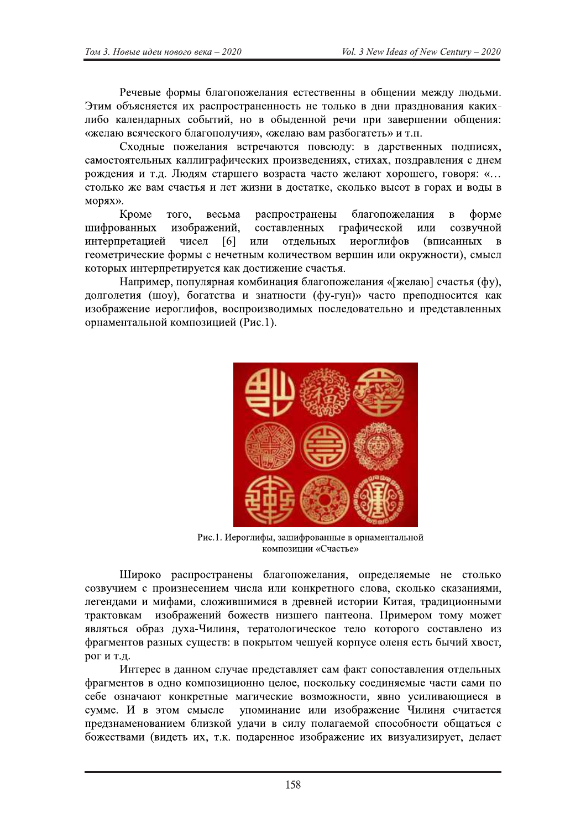Речевые формы благопожелания естественны в общении между людьми. Этим объясняется их распространенность не только в дни празднования какихлибо календарных событий, но в обыденной речи при завершении общения: «желаю всяческого благополучия», «желаю вам разбогатеть» и т.п.

Сходные пожелания встречаются повсюду: в дарственных подписях, самостоятельных каллиграфических произведениях, стихах, поздравления с днем рождения и т.д. Людям старшего возраста часто желают хорошего, говоря: «... столько же вам счастья и лет жизни в достатке, сколько высот в горах и воды в морях».

Кроме того, весьма распространены благопожелания  $\overline{B}$ форме шифрованных изображений, составленных графической ИЛИ созвучной интерпретацией чисел [6] или отдельных иероглифов (вписанных  $\bf{B}$ геометрические формы с нечетным количеством вершин или окружности), смысл которых интерпретируется как достижение счастья.

Например, популярная комбинация благопожелания «[желаю] счастья (фу), долголетия (шоу), богатства и знатности (фу-гун)» часто преподносится как изображение иероглифов, воспроизводимых последовательно и представленных орнаментальной композицией (Рис.1).



Рис.1. Иероглифы, зашифрованные в орнаментальной композиции «Счастье»

Широко распространены благопожелания, определяемые не столько созвучием с произнесением числа или конкретного слова, сколько сказаниями, легендами и мифами, сложившимися в древней истории Китая, традиционными изображений божеств низшего пантеона. Примером тому может трактовкам являться образ духа-Чилиня, тератологическое тело которого составлено из фрагментов разных существ: в покрытом чешуей корпусе оленя есть бычий хвост, рогит.д.

Интерес в данном случае представляет сам факт сопоставления отдельных фрагментов в одно композиционно целое, поскольку соединяемые части сами по себе означают конкретные магические возможности, явно усиливающиеся в упоминание или изображение Чилиня считается сумме. И в этом смысле предзнаменованием близкой удачи в силу полагаемой способности общаться с божествами (видеть их, т.к. подаренное изображение их визуализирует, делает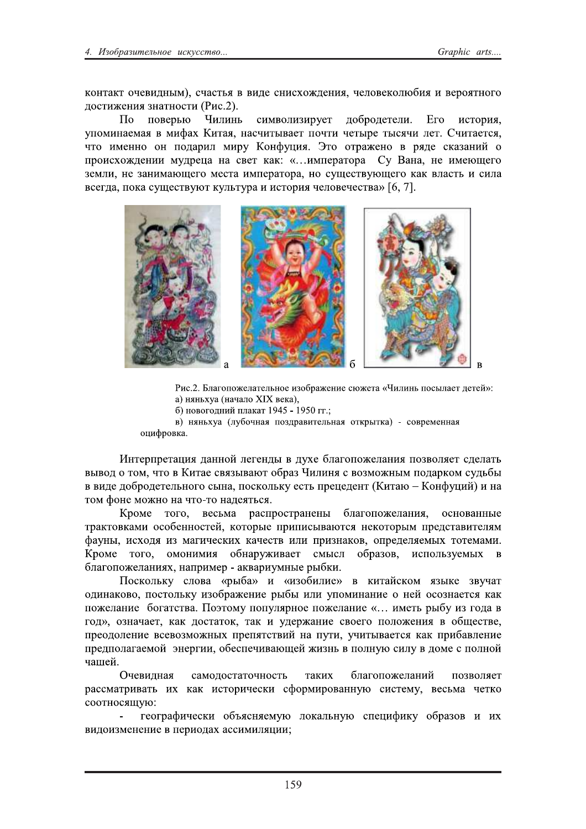контакт очевидным), счастья в виде снисхождения, человеколюбия и вероятного достижения знатности (Рис.2).

Чилинь символизирует добродетели.  $\Pi$ <sub>o</sub> поверью Его история, упоминаемая в мифах Китая, насчитывает почти четыре тысячи лет. Считается, что именно он подарил миру Конфуция. Это отражено в ряде сказаний о происхождении мудреца на свет как: «...императора Су Вана, не имеющего земли, не занимающего места императора, но существующего как власть и сила всегда, пока существуют культура и история человечества» [6, 7].



Рис.2. Благопожелательное изображение сюжета «Чилинь посылает детей»: а) няньхуа (начало XIX века),

б) новогодний плакат 1945 - 1950 гг.;

в) няньхуа (лубочная поздравительная открытка) - современная оцифровка.

Интерпретация данной легенды в духе благопожелания позволяет сделать вывод о том, что в Китае связывают образ Чилиня с возможным подарком судьбы в виде добродетельного сына, поскольку есть прецедент (Китаю – Конфуций) и на том фоне можно на что-то надеяться.

Кроме TOFO. весьма распространены благопожелания, основанные трактовками особенностей, которые приписываются некоторым представителям фауны, исходя из магических качеств или признаков, определяемых тотемами. Кроме того, омонимия обнаруживает смысл образов, используемых  $\mathbf{B}$ благопожеланиях, например - аквариумные рыбки.

Поскольку слова «рыба» и «изобилие» в китайском языке звучат одинаково, постольку изображение рыбы или упоминание о ней осознается как пожелание богатства. Поэтому популярное пожелание «... иметь рыбу из года в год», означает, как достаток, так и удержание своего положения в обществе, преодоление всевозможных препятствий на пути, учитывается как прибавление предполагаемой энергии, обеспечивающей жизнь в полную силу в доме с полной чашей.

Очевилная самолостаточность таких благопожеланий позволяет рассматривать их как исторически сформированную систему, весьма четко соотносящую:

географически объясняемую локальную специфику образов и их видоизменение в периодах ассимиляции;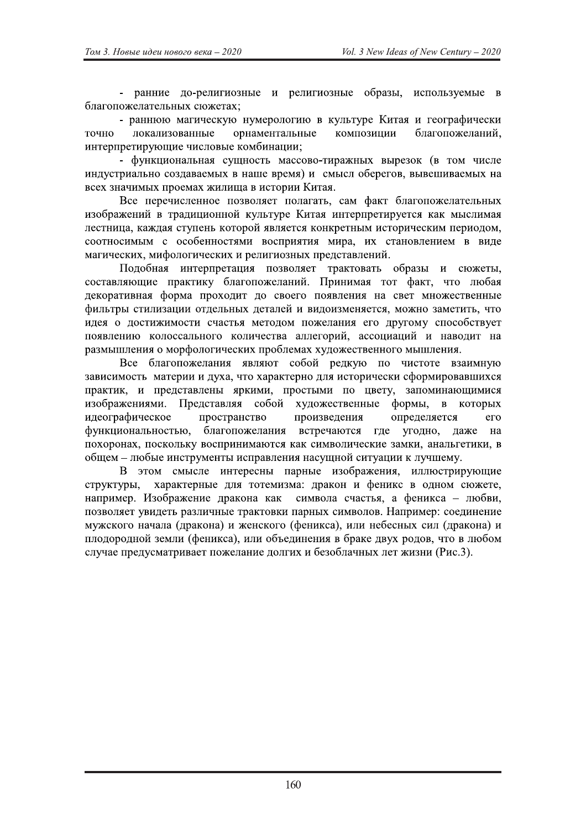- ранние до-религиозные и религиозные образы, используемые в благопожелательных сюжетах:

- раннюю магическую нумерологию в культуре Китая и географически локализованные орнаментальные композиции благопожеланий, точно интерпретирующие числовые комбинации:

- функциональная сушность массово-тиражных вырезок (в том числе индустриально создаваемых в наше время) и смысл оберегов, вывешиваемых на всех значимых проемах жилища в истории Китая.

Все перечисленное позволяет полагать, сам факт благопожелательных изображений в традиционной культуре Китая интерпретируется как мыслимая лестница, каждая ступень которой является конкретным историческим периодом, соотносимым с особенностями восприятия мира, их становлением в виде магических, мифологических и религиозных представлений.

Подобная интерпретация позволяет трактовать образы и сюжеты, составляющие практику благопожеланий. Принимая тот факт, что любая декоративная форма проходит до своего появления на свет множественные фильтры стилизации отдельных деталей и видоизменяется, можно заметить, что идея о достижимости счастья методом пожелания его другому способствует появлению колоссального количества аллегорий, ассоциаций и наводит на размышления о морфологических проблемах художественного мышления.

Все благопожелания являют собой редкую по чистоте взаимную зависимость материи и духа, что характерно для исторически сформировавшихся практик, и представлены яркими, простыми по цвету, запоминающимися изображениями. Представляя собой художественные формы,  $\mathbf{B}$ которых идеографическое пространство произведения определяется  $er<sub>o</sub>$ функциональностью, благопожелания встречаются где угодно, даже на похоронах, поскольку воспринимаются как символические замки, анальгетики, в общем - любые инструменты исправления насущной ситуации к лучшему.

В этом смысле интересны парные изображения, иллюстрирующие характерные для тотемизма: дракон и феникс в одном сюжете, структуры, например. Изображение дракона как символа счастья, а феникса – любви, позволяет увидеть различные трактовки парных символов. Например: соединение мужского начала (дракона) и женского (феникса), или небесных сил (дракона) и плодородной земли (феникса), или объединения в браке двух родов, что в любом случае предусматривает пожелание долгих и безоблачных лет жизни (Рис.3).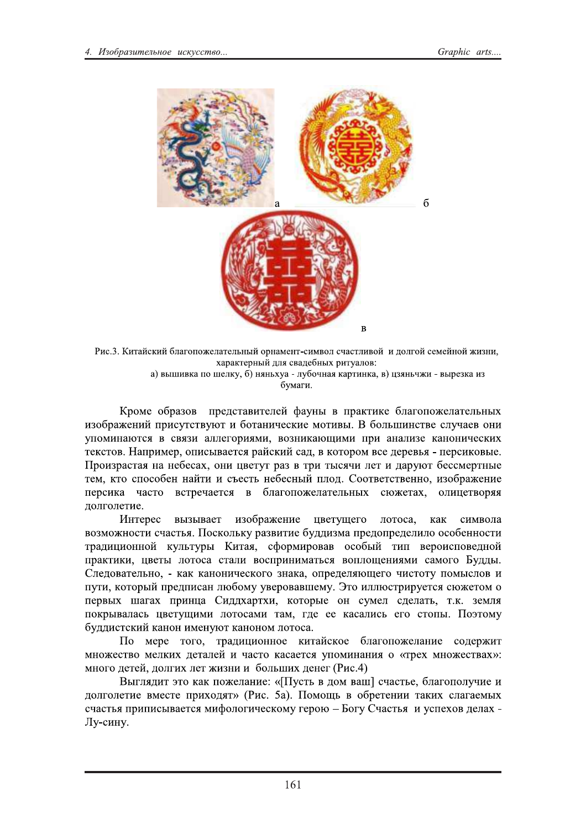

Рис.3. Китайский благопожелательный орнамент-символ счастливой и долгой семейной жизни, характерный для свадебных ритуалов:

а) вышивка по шелку, б) няньхуа - лубочная картинка, в) цзяньчжи - вырезка из бумаги.

Кроме образов представителей фауны в практике благопожелательных изображений присутствуют и ботанические мотивы. В большинстве случаев они упоминаются в связи аллегориями, возникающими при анализе канонических текстов. Например, описывается райский сад, в котором все деревья - персиковые. Произрастая на небесах, они цветут раз в три тысячи лет и даруют бессмертные тем, кто способен найти и съесть небесный плод. Соответственно, изображение персика часто встречается в благопожелательных сюжетах, олицетворяя долголетие.

Интерес вызывает изображение цветущего лотоса, как символа возможности счастья. Поскольку развитие буддизма предопределило особенности традиционной культуры Китая, сформировав особый тип вероисповедной практики, цветы лотоса стали восприниматься воплощениями самого Будды. Следовательно, - как канонического знака, определяющего чистоту помыслов и пути, который предписан любому уверовавшему. Это иллюстрируется сюжетом о первых шагах принца Сиддхартхи, которые он сумел сделать, т.к. земля покрывалась цветущими лотосами там, где ее касались его стопы. Поэтому буддистский канон именуют каноном лотоса.

По мере того, традиционное китайское благопожелание содержит множество мелких деталей и часто касается упоминания о «трех множествах»: много детей, долгих лет жизни и больших денег (Рис.4)

Выглядит это как пожелание: «[Пусть в дом ваш] счастье, благополучие и долголетие вместе приходят» (Рис. 5а). Помощь в обретении таких слагаемых счастья приписывается мифологическому герою - Богу Счастья и успехов делах -Лу-сину.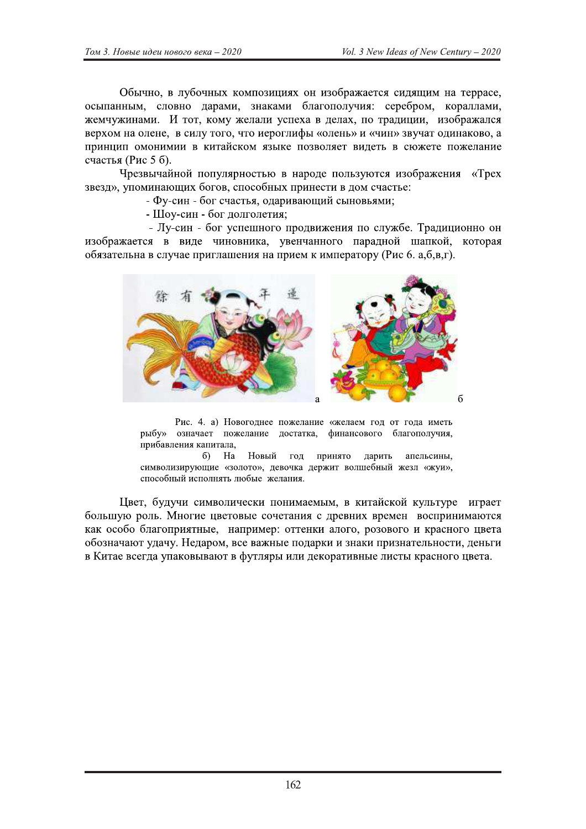Обычно, в лубочных композициях он изображается сидящим на террасе, осыпанным, словно дарами, знаками благополучия: серебром, кораллами, жемчужинами. И тот, кому желали успеха в делах, по традиции, изображался верхом на олене, в силу того, что иероглифы «олень» и «чин» звучат одинаково, а принцип омонимии в китайском языке позволяет видеть в сюжете пожелание счастья (Рис 5 б).

Чрезвычайной популярностью в народе пользуются изображения «Трех звезд», упоминающих богов, способных принести в дом счастье:

- Фу-син - бог счастья, одаривающий сыновьями;

- Шоу-син - бог долголетия;

- Лу-син - бог успешного продвижения по службе. Традиционно он изображается в виде чиновника, увенчанного парадной шапкой, которая обязательна в случае приглашения на прием к императору (Рис 6. а, б, в, г).



Рис. 4. а) Новогоднее пожелание «желаем год от года иметь рыбу» означает пожелание достатка, финансового благополучия, прибавления капитала,

 $6)$ Ha Новый год принято дарить апельсины, символизирующие «золото», девочка держит волшебный жезл «жуи», способный исполнять любые желания.

Цвет, будучи символически понимаемым, в китайской культуре играет большую роль. Многие цветовые сочетания с древних времен воспринимаются как особо благоприятные, например: оттенки алого, розового и красного цвета обозначают удачу. Недаром, все важные подарки и знаки признательности, деньги в Китае всегда упаковывают в футляры или декоративные листы красного цвета.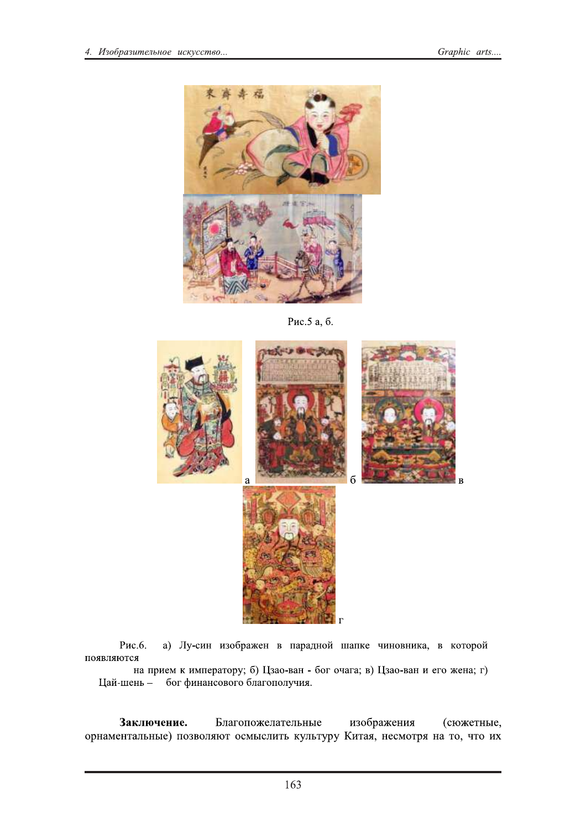

Рис.5 а, б.



Рис.6. а) Лу-син изображен в парадной шапке чиновника, в которой появляются

на прием к императору; б) Цзао-ван - бог очага; в) Цзао-ван и его жена; г) Цай-шень - бог финансового благополучия.

Заключение. Благопожелательные изображения (сюжетные, орнаментальные) позволяют осмыслить культуру Китая, несмотря на то, что их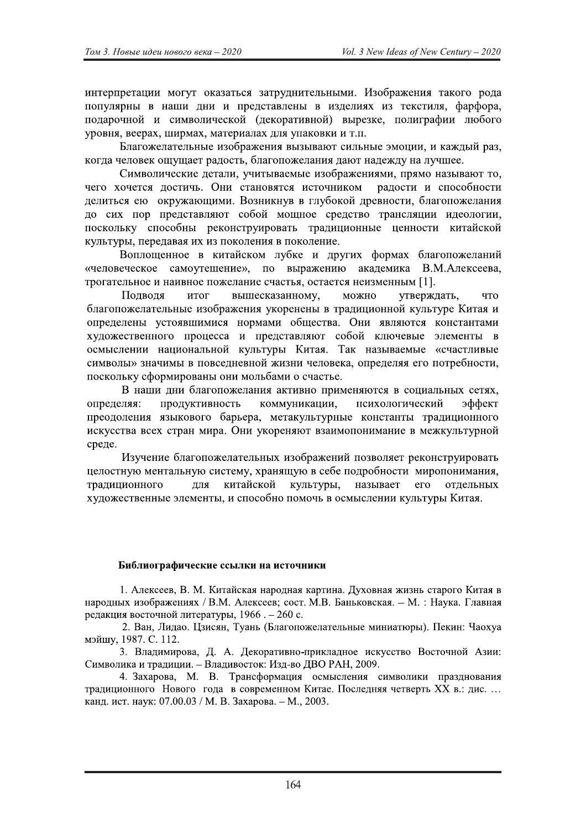интерпретации могут оказаться затруднительными. Изображения такого рода популярны в наши дни и представлены в изделиях из текстиля, фарфора, подарочной и символической (декоративной) вырезке, полиграфии любого уровня, веерах, ширмах, материалах для упаковки и т.п.

Благожелательные изображения вызывают сильные эмоции, и каждый раз, когда человек ошущает радость, благопожелания дают надежду на лучшее.

Символические детали, учитываемые изображениями, прямо называют то, чего хочется достичь. Они становятся источником радости и способности делиться ею окружающими. Возникнув в глубокой древности, благопожелания до сих пор представляют собой мощное средство трансляции идеологии, поскольку способны реконструировать традиционные ценности китайской культуры, передавая их из поколения в поколение.

Воплощенное в китайском лубке и других формах благопожеланий «человеческое самоутешение», по выражению академика В.М.Алексеева, трогательное и наивное пожелание счастья, остается неизменным [1].

Подводя итог вышесказанному, можно утверждать, что благопожелательные изображения укоренены в традиционной культуре Китая и определены устоявшимися нормами общества. Они являются константами художественного процесса и представляют собой ключевые элементы в осмыслении национальной культуры Китая. Так называемые «счастливые символы» значимы в повседневной жизни человека, определяя его потребности, поскольку сформированы они мольбами о счастье.

В наши дни благопожелания активно применяются в социальных сетях, коммуникации, определяя: ПРОДУКТИВНОСТЬ психологический эффект преодоления языкового барьера, метакультурные константы традиционного искусства всех стран мира. Они укореняют взаимопонимание в межкультурной среде.

Изучение благопожелательных изображений позволяет реконструировать целостную ментальную систему, хранящую в себе подробности миропонимания, китайской культуры, традиционного ДЛЯ называет  $ero$ отдельных художественные элементы, и способно помочь в осмыслении культуры Китая.

## Библиографические ссылки на источники

1. Алексеев, В. М. Китайская народная картина. Духовная жизнь старого Китая в народных изображениях / В.М. Алексеев; сост. М.В. Баньковская. - М. : Наука. Главная редакция восточной литературы, 1966. - 260 с.

2. Ван, Лидао. Цзисян, Туань (Благопожелательные миниатюры). Пекин: Чаохуа мэйшу, 1987. С. 112.

3. Владимирова, Д. А. Декоративно-прикладное искусство Восточной Азии: Символика и традиции. - Владивосток: Изд-во ДВО РАН, 2009.

4. Захарова, М. В. Трансформация осмысления символики празднования традиционного Нового года в современном Китае. Последняя четверть XX в.: дис... канд. ист. наук: 07.00.03 / М. В. Захарова. - М., 2003.